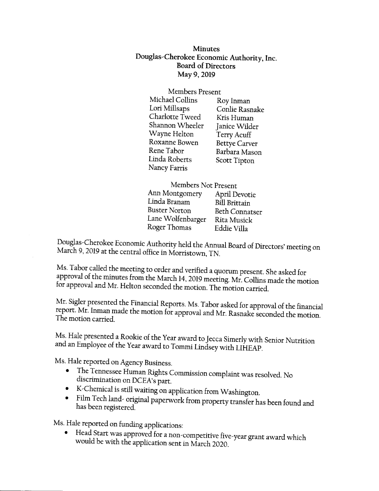Minutes Douglas-Cherokee Economic Authority, Inc. Board of Directors May 9,2019

| Members Present |                      |
|-----------------|----------------------|
| Michael Collins | Roy Inman            |
| Lori Millsaps   | Conlie Rasnake       |
| Charlotte Tweed | Kris Human           |
| Shannon Wheeler | Janice Wilder        |
| Wayne Helton    | Terry Acuff          |
| Roxanne Bowen   | <b>Bettye Carver</b> |
| Rene Tabor      | Barbara Mason        |
| Linda Roberts   | <b>Scott Tipton</b>  |
| Nancy Farris    |                      |

Members Not present Ann Montgomery April Devotie Linda Branam Bill Brittain<br>Buster Norton Beth Connai Beth Connatser Lane Wolfenbarger Rita Musick Roger Thomas Eddie Villa

March 9, 2019 at the central office in Morristown, TN. Douglas-Cherokee Economic Authority held the Annual Board of Directors' meeting on

Ms. Tabor called the meeting to order and verified a quorum present. She asked for approval of the minutes from the March 14, 2019 meeting. Mr. Collins made the motion for approval and Mr. Helton seconded the motion. The motion carried.

Mr. Sigler presented the Financial Reports. Ms. Tabor asked for approval of the financial report. Mr. Inman made the motion for approval and Mr. Rasnake seconded the motion. The motion carried.

Ms. Hale presented a Rookie of the Year award to Jecca Simerly with Senior Nutrition and an Employee of the Year award to Tommi Lindsey with LIHEAP.

Ms. Hale reported on Agency Business.

- o The Tennessee Human Rights Commission complaint was resolved. No<br>discrimination on DCEA's part.<br>• K-Chemical is still waiting on application from Washington.
- 
- Film Tech land- original paperwork from property transfer has been found and has been registered.

Ms. Hale reported on funding applicarions:

Head Start was approved for a non-competitive five-year grant award which would be with the application sent in March 2020.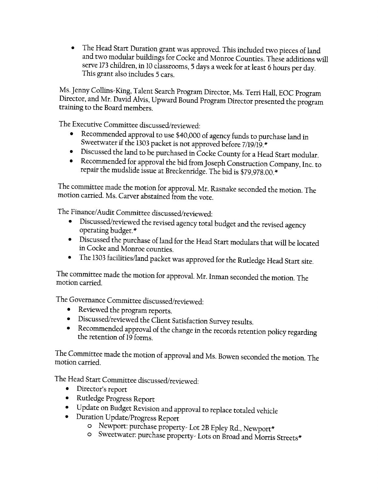' The Head Start Duration grant was approved. This included rwo pieces of land and two modular buildings for Cocke and Monroe Counties. These additions will serve 173 children, in l0 classrooms, 5 days a week for at least 6 hours per day. This grant also includes 5 cars.

Ms.Jenny Collins-King, Talent Search\_Program Director, Ms. Terri Hall, EOC program Director, and Mr. David Alvis, Upward Bound Program Director presented the program training to the Board members.

The Executive Commitree discussed/reviewed:

- o Recommendedapproval to use \$40,000 of agency funds to purchase land in Sweetwater if the 1303 packet is not approved before 7/19/19.\*<br>Discussed the land to be purchased in Goolse Gaunty for , H
- 
- oDiscussed the land to be purchased in Cocke County for a Head Start modular.<br>
oRecommended for approval the bid from Joseph Construction Company, Inc. to repair the mudslide issue at Breckenridge. The bid is \$79,978.00."

The committee made the motion for approval. Mr. Rasnake seconded the motion. The motion carried. Ms. Carver abstained from the vote.

The Finance/Audit Committee discussed/reviewed:

- o Discussed/reviewed the revised agency total budget and the revised agency operaring budget.\*
- <sup>o</sup>Discussed the purchase of land for the Head Srart modulars rhat will be located in Cocke and Monroe counties.
- The 1303 facilities/land packet was approved for the Rutledge Head Start site.

The committee made the motion for approval. Mr. Inman seconded the morion. The motion carried.

The Governance Committee discussed/reviewed:

- 
- Reviewed the program reports.<br>• Discussed/reviewed the Client Satisfaction Survey results.
- Recommended approval of the change in the records retention policy regarding<br>the retention of 19 forms.

The Committee made the motion of approval and Ms. Bowen seconded the motion. The motion carried.

The Head Start Committee discussed/reviewed:

- Director's report
- o Rutledge progress Report
- oupdate on Budget Revision and approval to replace totaled vehicle<br>• Duration Update/Progress Report<br>• O Newport: purchase property- Lot 2B Epley Rd., Newport\*
	- -
		- o Sweetwater: purchase property- Lots on Broad and Morris Streets\*